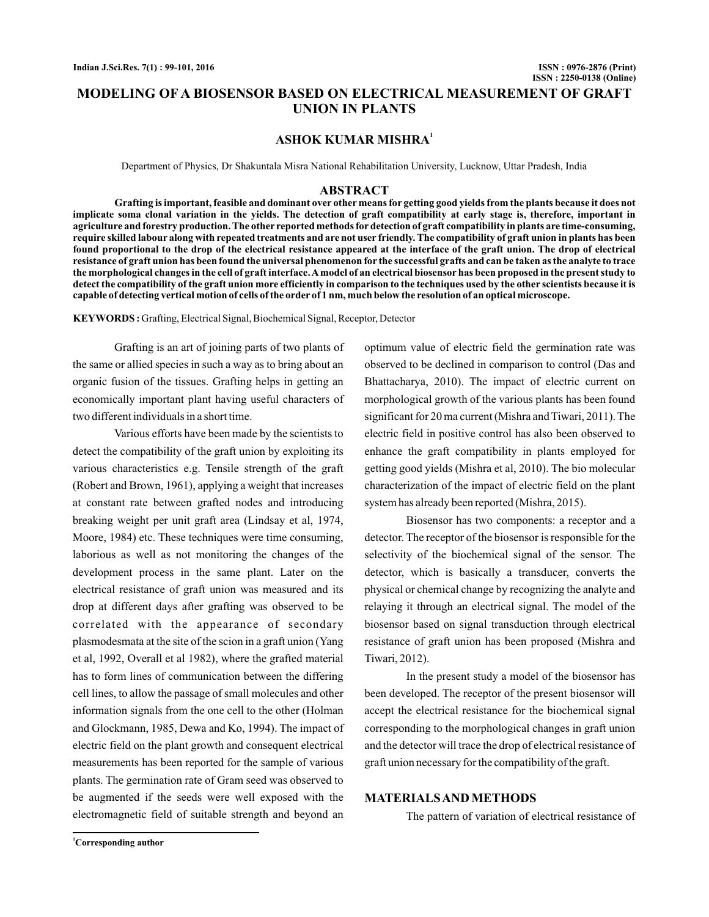# **MODELING OF A BIOSENSOR BASED ON ELECTRICAL MEASUREMENT OF GRAFT UNION IN PLANTS**

## **ASHOK KUMAR MISHRA<sup>1</sup>**

Department of Physics, Dr Shakuntala Misra National Rehabilitation University, Lucknow, Uttar Pradesh, India

#### **ABSTRACT**

**Grafting is important, feasible and dominant over other means for getting good yields from the plants because it does not implicate soma clonal variation in the yields. The detection of graft compatibility at early stage is, therefore, important in agriculture and forestry production. The other reported methods for detection of graft compatibility in plants are time-consuming, require skilled labour along with repeated treatments and are not user friendly. The compatibility of graft union in plants has been found proportional to the drop of the electrical resistance appeared at the interface of the graft union. The drop of electrical resistance of graft union has been found the universal phenomenon for the successful grafts and can be taken as the analyte to trace the morphological changes in the cell of graft interface.Amodel of an electrical biosensor has been proposed in the present study to detect the compatibility of the graft union more efficiently in comparison to the techniques used by the other scientists because it is capable of detecting vertical motion of cells of the order of 1 nm, much below the resolution of an optical microscope.**

**KEYWORDS :** Grafting, Electrical Signal, Biochemical Signal, Receptor, Detector

Grafting is an art of joining parts of two plants of the same or allied species in such a way as to bring about an organic fusion of the tissues. Grafting helps in getting an economically important plant having useful characters of two different individuals in a short time.

Various efforts have been made by the scientists to detect the compatibility of the graft union by exploiting its various characteristics e.g. Tensile strength of the graft (Robert and Brown, 1961), applying a weight that increases at constant rate between grafted nodes and introducing breaking weight per unit graft area (Lindsay et al, 1974, Moore, 1984) etc. These techniques were time consuming, laborious as well as not monitoring the changes of the development process in the same plant. Later on the electrical resistance of graft union was measured and its drop at different days after grafting was observed to be correlated with the appearance of secondary plasmodesmata at the site of the scion in a graft union (Yang et al, 1992, Overall et al 1982), where the grafted material has to form lines of communication between the differing cell lines, to allow the passage of small molecules and other information signals from the one cell to the other (Holman and Glockmann, 1985, Dewa and Ko, 1994). The impact of electric field on the plant growth and consequent electrical measurements has been reported for the sample of various plants. The germination rate of Gram seed was observed to be augmented if the seeds were well exposed with the electromagnetic field of suitable strength and beyond an

optimum value of electric field the germination rate was observed to be declined in comparison to control (Das and Bhattacharya, 2010). The impact of electric current on morphological growth of the various plants has been found significant for 20 ma current (Mishra and Tiwari, 2011). The electric field in positive control has also been observed to enhance the graft compatibility in plants employed for getting good yields (Mishra et al, 2010). The bio molecular characterization of the impact of electric field on the plant system has already been reported (Mishra, 2015).

Biosensor has two components: a receptor and a detector. The receptor of the biosensor is responsible for the selectivity of the biochemical signal of the sensor. The detector, which is basically a transducer, converts the physical or chemical change by recognizing the analyte and relaying it through an electrical signal. The model of the biosensor based on signal transduction through electrical resistance of graft union has been proposed (Mishra and Tiwari, 2012).

In the present study a model of the biosensor has been developed. The receptor of the present biosensor will accept the electrical resistance for the biochemical signal corresponding to the morphological changes in graft union and the detector will trace the drop of electrical resistance of graft union necessary for the compatibility of the graft.

#### **MATERIALSAND METHODS**

The pattern of variation of electrical resistance of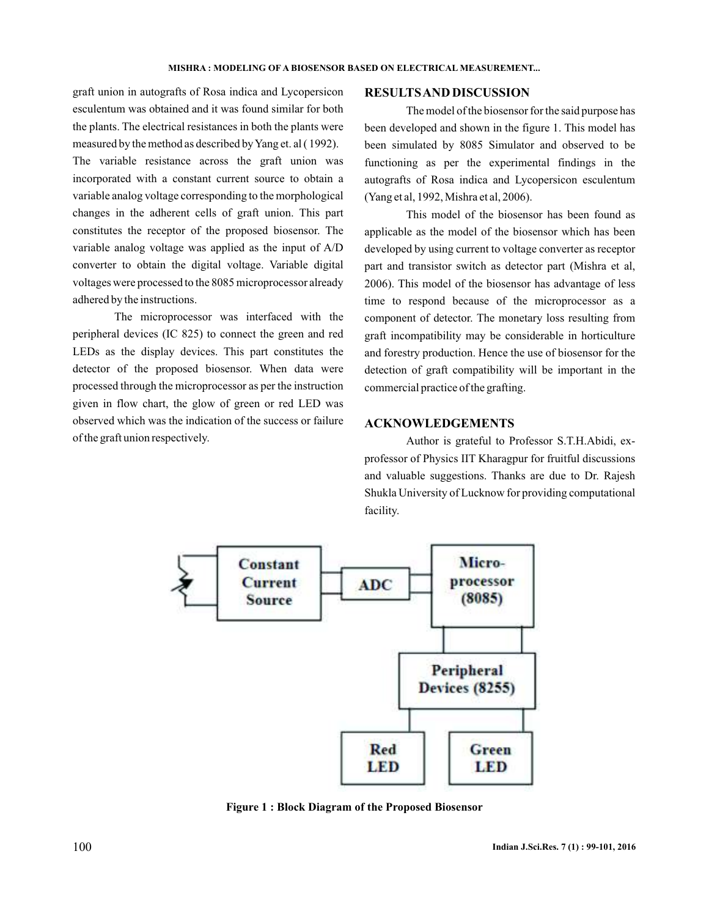graft union in autografts of Rosa indica and Lycopersicon esculentum was obtained and it was found similar for both the plants. The electrical resistances in both the plants were measured by the method as described byYang et. al ( 1992).

The variable resistance across the graft union was incorporated with a constant current source to obtain a variable analog voltage corresponding to the morphological changes in the adherent cells of graft union. This part constitutes the receptor of the proposed biosensor. The variable analog voltage was applied as the input of A/D converter to obtain the digital voltage. Variable digital voltages were processed to the 8085 microprocessor already adhered by the instructions.

The microprocessor was interfaced with the peripheral devices (IC 825) to connect the green and red LEDs as the display devices. This part constitutes the detector of the proposed biosensor. When data were processed through the microprocessor as per the instruction given in flow chart, the glow of green or red LED was observed which was the indication of the success or failure of the graft union respectively.

#### **RESULTSAND DISCUSSION**

The model of the biosensor for the said purpose has been developed and shown in the figure 1. This model has been simulated by 8085 Simulator and observed to be functioning as per the experimental findings in the autografts of Rosa indica and Lycopersicon esculentum (Yang et al, 1992, Mishra et al, 2006).

This model of the biosensor has been found as applicable as the model of the biosensor which has been developed by using current to voltage converter as receptor part and transistor switch as detector part (Mishra et al, 2006). This model of the biosensor has advantage of less time to respond because of the microprocessor as a component of detector. The monetary loss resulting from graft incompatibility may be considerable in horticulture and forestry production. Hence the use of biosensor for the detection of graft compatibility will be important in the commercial practice of the grafting.

### **ACKNOWLEDGEMENTS**

Author is grateful to Professor S.T.H.Abidi, exprofessor of Physics IIT Kharagpur for fruitful discussions and valuable suggestions. Thanks are due to Dr. Rajesh Shukla University of Lucknow for providing computational facility.



**Figure 1 : Block Diagram of the Proposed Biosensor**